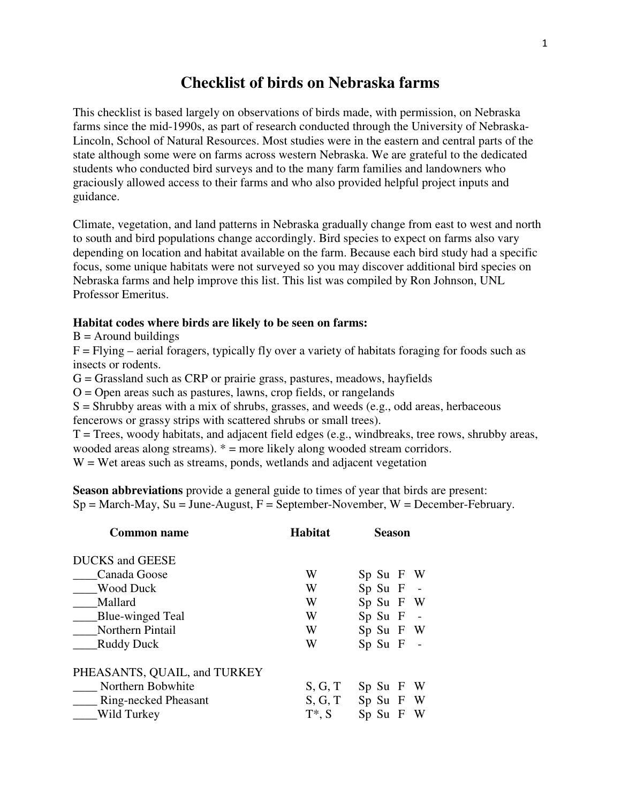## **Checklist of birds on Nebraska farms**

This checklist is based largely on observations of birds made, with permission, on Nebraska farms since the mid-1990s, as part of research conducted through the University of Nebraska-Lincoln, School of Natural Resources. Most studies were in the eastern and central parts of the state although some were on farms across western Nebraska. We are grateful to the dedicated students who conducted bird surveys and to the many farm families and landowners who graciously allowed access to their farms and who also provided helpful project inputs and guidance.

Climate, vegetation, and land patterns in Nebraska gradually change from east to west and north to south and bird populations change accordingly. Bird species to expect on farms also vary depending on location and habitat available on the farm. Because each bird study had a specific focus, some unique habitats were not surveyed so you may discover additional bird species on Nebraska farms and help improve this list. This list was compiled by Ron Johnson, UNL Professor Emeritus.

## **Habitat codes where birds are likely to be seen on farms:**

 $B =$  Around buildings

 $F = Flying – aerial foragers, typically fly over a variety of habitats foraging for foods such as$ insects or rodents.

 $G =$  Grassland such as CRP or prairie grass, pastures, meadows, hayfields

 $O =$ Open areas such as pastures, lawns, crop fields, or rangelands

 $S =$  Shrubby areas with a mix of shrubs, grasses, and weeds (e.g., odd areas, herbaceous fencerows or grassy strips with scattered shrubs or small trees).

 $T = Trees$ , woody habitats, and adjacent field edges (e.g., windbreaks, tree rows, shrubby areas, wooded areas along streams). \* = more likely along wooded stream corridors.

 $W = Wet$  areas such as streams, ponds, wetlands and adjacent vegetation

**Season abbreviations** provide a general guide to times of year that birds are present:  $Sp = March-May$ ,  $Su = June-August$ ,  $F = September-November$ ,  $W = December-February$ .

| <b>Common name</b>           | <b>Habitat</b> | <b>Season</b>              |  |  |  |
|------------------------------|----------------|----------------------------|--|--|--|
| <b>DUCKS</b> and GEESE       |                |                            |  |  |  |
| Canada Goose                 | W              | Sp Su F W                  |  |  |  |
| <b>Wood Duck</b>             | W              | $Sp$ Su $F$ -              |  |  |  |
| Mallard                      | W              | Sp Su F W                  |  |  |  |
| Blue-winged Teal             | W              | $Sp$ Su $F$ -              |  |  |  |
| Northern Pintail             | W              | Sp Su F W                  |  |  |  |
| Ruddy Duck                   | W              | $Sp$ Su $F$ -              |  |  |  |
| PHEASANTS, QUAIL, and TURKEY |                |                            |  |  |  |
| Northern Bobwhite            | S, G, T        | $Sp$ Su $F$ W              |  |  |  |
| <b>Ring-necked Pheasant</b>  | S, G, T        | Sp Su F W                  |  |  |  |
| Wild Turkey                  | $T^*$ , S      | Sp Su<br>W<br>$\mathbf{F}$ |  |  |  |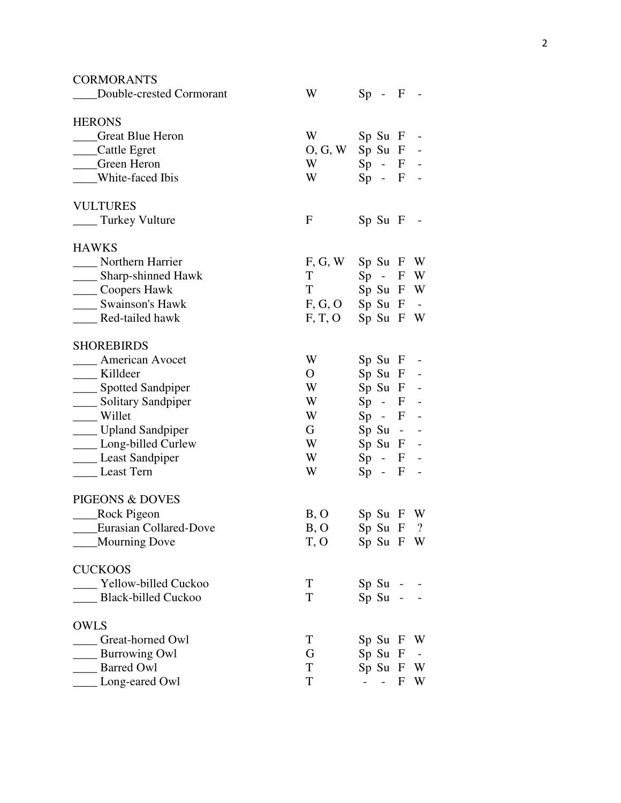| <b>CORMORANTS</b>               |                       |                                 |              |            |
|---------------------------------|-----------------------|---------------------------------|--------------|------------|
| Double-crested Cormorant        | W                     | $Sp -$                          | $\mathbf{F}$ |            |
| <b>HERONS</b>                   |                       |                                 |              |            |
| <b>Canadia</b> Great Blue Heron | W                     | $Sp$ Su $F$                     |              |            |
| ____Cattle Egret                | $O, G, W$ Sp Su F     |                                 |              |            |
| ___Green Heron                  | W                     | $Sp - F -$                      |              |            |
| ____White-faced Ibis            | W                     | $Sp - F -$                      |              |            |
| <b>VULTURES</b>                 |                       |                                 |              |            |
| ____ Turkey Vulture             | F                     | $Sp$ Su F                       |              |            |
| <b>HAWKS</b>                    |                       |                                 |              |            |
| Northern Harrier                | $F, G, W$ Sp Su $F$ W |                                 |              |            |
| ____ Sharp-shinned Hawk         | T                     | $Sp - F W$                      |              |            |
| _____ Coopers Hawk              | T <sub>1</sub>        | Sp Su F W                       |              |            |
| <b>Swainson's Hawk</b>          | $F, G, O$ Sp Su $F$ - |                                 |              |            |
| Red-tailed hawk                 | $F, T, O$ Sp Su F W   |                                 |              |            |
| <b>SHOREBIRDS</b>               |                       |                                 |              |            |
| <b>American Avocet</b>          | W                     | $Sp$ Su $F$ -                   |              |            |
| __ Killdeer                     | $\overline{O}$        | $Sp$ Su $F -$                   |              |            |
| ____ Spotted Sandpiper          | W                     | $Sp$ Su $F -$                   |              |            |
| _____ Solitary Sandpiper        | W                     | $Sp - F -$                      |              |            |
| ___ Willet                      | W                     | $Sp - F -$                      |              |            |
| ____ Upland Sandpiper           | G                     | $Sp$ Su - -                     |              |            |
| ___ Long-billed Curlew          | W                     | $Sp$ Su $F$ -                   |              |            |
| ___ Least Sandpiper             | W                     | $Sp - F -$                      |              |            |
| Least Tern                      | W                     | $Sp - F$                        |              |            |
| PIGEONS & DOVES                 |                       |                                 |              |            |
| ____Rock Pigeon                 | B, O                  | $Sp$ Su $F$ W                   |              |            |
| <b>Eurasian Collared-Dove</b>   | B, O                  | $Sp$ Su F ?                     |              |            |
| <b>Mourning Dove</b>            | T, O                  | Sp Su F W                       |              |            |
| <b>CUCKOOS</b>                  |                       |                                 |              |            |
| Yellow-billed Cuckoo            | T                     | $Sp$ Su -                       |              |            |
| Black-billed Cuckoo             | T                     | $Sp$ Su -                       |              |            |
| <b>OWLS</b>                     |                       |                                 |              |            |
| Great-horned Owl                | T                     | $Sp$ Su $F$                     |              | W          |
| <b>Burrowing Owl</b>            | G                     | $Sp$ Su $F$                     |              | $\sim$ $-$ |
| <b>Barred Owl</b>               | T                     | $Sp$ Su $F$                     |              | W          |
| Long-eared Owl                  | $\mathbf T$           | $\frac{1}{2}$ and $\frac{1}{2}$ | F            | W          |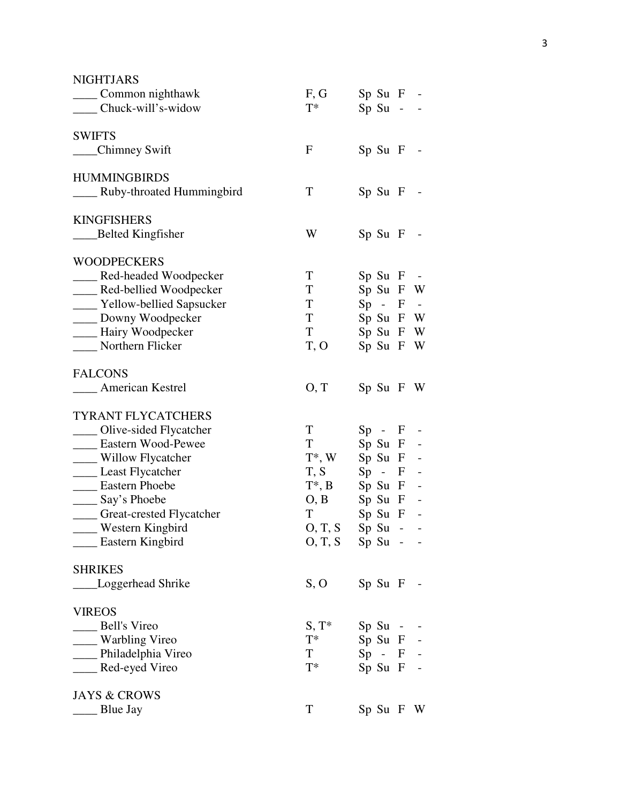| <b>NIGHTJARS</b>              |                                                                                                                                                                                                                                |               |  |
|-------------------------------|--------------------------------------------------------------------------------------------------------------------------------------------------------------------------------------------------------------------------------|---------------|--|
| _____ Common nighthawk        | F, G                                                                                                                                                                                                                           | $Sp$ Su $F -$ |  |
| _____ Chuck-will's-widow      | $T^*$                                                                                                                                                                                                                          | $Sp$ Su - -   |  |
| <b>SWIFTS</b>                 |                                                                                                                                                                                                                                |               |  |
| ___Chimney Swift              | $\mathbf{F}$                                                                                                                                                                                                                   | $Sp$ Su $F -$ |  |
| <b>HUMMINGBIRDS</b>           |                                                                                                                                                                                                                                |               |  |
| Ruby-throated Hummingbird     | T                                                                                                                                                                                                                              | $Sp$ Su $F -$ |  |
| <b>KINGFISHERS</b>            |                                                                                                                                                                                                                                |               |  |
| ____Belted Kingfisher         | W                                                                                                                                                                                                                              | $Sp$ Su $F$ - |  |
| <b>WOODPECKERS</b>            |                                                                                                                                                                                                                                |               |  |
| ___ Red-headed Woodpecker     | T                                                                                                                                                                                                                              | $Sp$ Su $F -$ |  |
| ____ Red-bellied Woodpecker   | T                                                                                                                                                                                                                              | Sp Su F W     |  |
| ____ Yellow-bellied Sapsucker | T —                                                                                                                                                                                                                            | $Sp - F -$    |  |
| ____ Downy Woodpecker         | $\mathbf T$                                                                                                                                                                                                                    | Sp Su F W     |  |
| - Hairy Woodpecker            | T <sup>1</sup>                                                                                                                                                                                                                 | Sp Su F W     |  |
| Northern Flicker              | T, O                                                                                                                                                                                                                           | Sp Su F W     |  |
| <b>FALCONS</b>                |                                                                                                                                                                                                                                |               |  |
| <b>____</b> American Kestrel  | O, T                                                                                                                                                                                                                           | $Sp$ Su F W   |  |
| <b>TYRANT FLYCATCHERS</b>     |                                                                                                                                                                                                                                |               |  |
| ___ Olive-sided Flycatcher    | T –                                                                                                                                                                                                                            | $Sp - F -$    |  |
| ____ Eastern Wood-Pewee       | T and the state of the state of the state of the state of the state of the state of the state of the state of the state of the state of the state of the state of the state of the state of the state of the state of the stat | $Sp$ Su $F -$ |  |
| ___ Willow Flycatcher         | $T^*$ , W                                                                                                                                                                                                                      | $Sp$ Su $F -$ |  |
| Least Flycatcher              | T, S                                                                                                                                                                                                                           | $Sp - F -$    |  |
| <b>Eastern Phoebe</b>         | $T^*$ , B Sp Su F -                                                                                                                                                                                                            |               |  |
| ____ Say's Phoebe             | $O, B$ Sp Su F -                                                                                                                                                                                                               |               |  |
| ____ Great-crested Flycatcher | $\mathbf T$                                                                                                                                                                                                                    | $Sp$ Su $F$   |  |
| Western Kingbird              | O, T, S Sp Su - -                                                                                                                                                                                                              |               |  |
| __ Eastern Kingbird           | $O, T, S$ Sp Su - -                                                                                                                                                                                                            |               |  |
| <b>SHRIKES</b>                |                                                                                                                                                                                                                                |               |  |
| Loggerhead Shrike             | S, O                                                                                                                                                                                                                           | $Sp$ Su $F$ - |  |
| <b>VIREOS</b>                 |                                                                                                                                                                                                                                |               |  |
| <b>Bell's Vireo</b>           | $S, T^*$                                                                                                                                                                                                                       | $Sp$ Su - -   |  |
| ___ Warbling Vireo            | $T^*$                                                                                                                                                                                                                          | $Sp$ Su $F -$ |  |
| __ Philadelphia Vireo         | T                                                                                                                                                                                                                              | $Sp - F -$    |  |
| __ Red-eyed Vireo             | $T^*$                                                                                                                                                                                                                          | $Sp$ Su $F$ - |  |
| <b>JAYS &amp; CROWS</b>       |                                                                                                                                                                                                                                |               |  |
| <b>Blue Jay</b>               | T                                                                                                                                                                                                                              | $Sp$ Su F W   |  |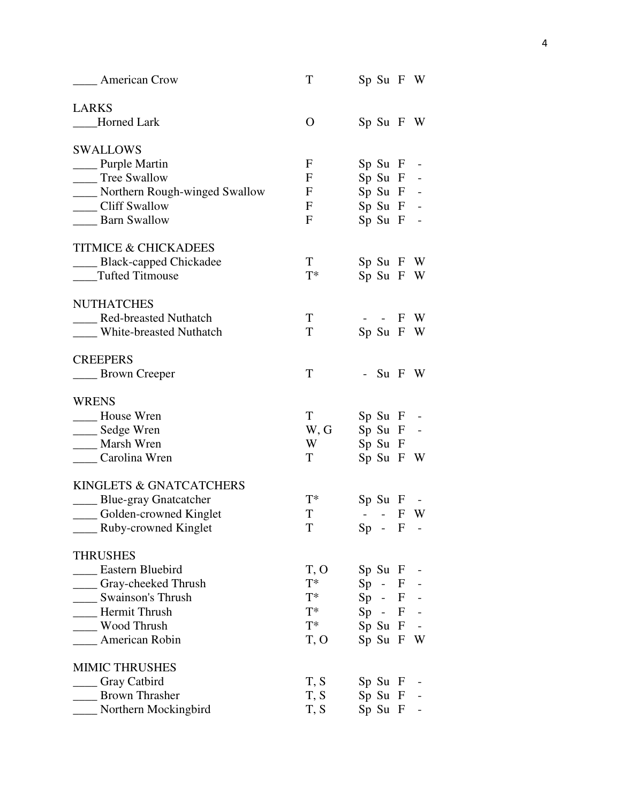| <b>American Crow</b>               | T            | Sp Su F W                                   |     |
|------------------------------------|--------------|---------------------------------------------|-----|
| <b>LARKS</b>                       |              |                                             |     |
| Horned Lark                        | $\mathbf{O}$ | $Sp$ Su F W                                 |     |
| <b>SWALLOWS</b>                    |              |                                             |     |
| _____ Purple Martin                | $\mathbf F$  | $Sp$ Su $F$ -                               |     |
| Tree Swallow                       | F            | $Sp$ Su $F -$                               |     |
| ____ Northern Rough-winged Swallow | F            | $Sp$ Su $F -$                               |     |
| Cliff Swallow                      | $\mathbf F$  | $Sp$ Su $F$ -                               |     |
| <b>Barn Swallow</b>                | F            | $Sp$ Su $F -$                               |     |
| <b>TITMICE &amp; CHICKADEES</b>    |              |                                             |     |
| _____ Black-capped Chickadee       | T            | $Sp$ Su F W                                 |     |
| Tufted Titmouse                    | $T^*$        | Sp Su F W                                   |     |
| <b>NUTHATCHES</b>                  |              |                                             |     |
| Red-breasted Nuthatch              | T            | - - F W                                     |     |
| ____ White-breasted Nuthatch       | T            | $Sp$ Su F W                                 |     |
| <b>CREEPERS</b>                    |              |                                             |     |
| <b>EXECUTE:</b> Brown Creeper      | T            | - Su $F$ W                                  |     |
| <b>WRENS</b>                       |              |                                             |     |
| <b>House Wren</b>                  | T            | $Sp$ Su $F -$                               |     |
| ___ Sedge Wren                     | W, G         | $Sp$ Su $F$ -                               |     |
| ___ Marsh Wren                     | W            | $Sp$ Su $F$                                 |     |
| Carolina Wren                      | T            | $Sp$ Su F W                                 |     |
| KINGLETS & GNATCATCHERS            |              |                                             |     |
| ____ Blue-gray Gnatcatcher         | $T^*$        | $Sp$ Su $F$ -                               |     |
| ____ Golden-crowned Kinglet        | T            | $\omega_{\rm{max}}$ and $\omega_{\rm{max}}$ | F W |
| _____ Ruby-crowned Kinglet         | T            | $Sp - F$                                    |     |
| <b>THRUSHES</b>                    |              |                                             |     |
| <b>Eastern Bluebird</b>            | T, O         | $Sp$ Su $F$ -                               |     |
| _Gray-cheeked Thrush               | $T^*$        | $Sp - F -$                                  |     |
| <b>Swainson's Thrush</b>           | $T^*$        | $Sp - F -$                                  |     |
| <b>Hermit Thrush</b>               | $T^*$        | $Sp - F -$                                  |     |
| Wood Thrush                        | $T^*$        | $Sp$ Su $F$ -                               |     |
| American Robin                     | T, O         | Sp Su F W                                   |     |
| <b>MIMIC THRUSHES</b>              |              |                                             |     |
| _ Gray Catbird                     | T, S         | $Sp$ Su $F$                                 |     |
| <b>Brown Thrasher</b>              | T, S         | $Sp$ Su $F -$                               |     |
| Northern Mockingbird               | T, S         | $Sp$ Su $F$ -                               |     |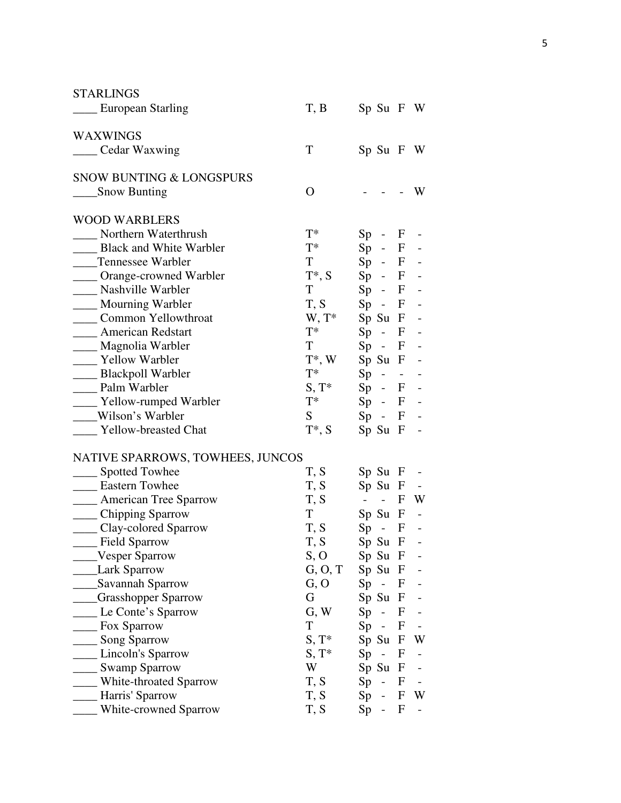| T, B<br>___ European Starling<br>$Sp$ Su F W<br><b>WAXWINGS</b><br>T<br>____ Cedar Waxwing<br>$Sp$ Su F W<br><b>SNOW BUNTING &amp; LONGSPURS</b><br><b>Snow Bunting</b><br>$\overline{O}$<br>W<br><b>WOOD WARBLERS</b><br>$T^*$<br>____ Northern Waterthrush<br>$Sp - F$<br>$T^*$<br><b>Black and White Warbler</b><br>$Sp - F -$<br>T<br>$Sp - F -$<br>Tennessee Warbler<br>$T^*$ , S<br>$Sp - F -$<br>____ Orange-crowned Warbler |
|-------------------------------------------------------------------------------------------------------------------------------------------------------------------------------------------------------------------------------------------------------------------------------------------------------------------------------------------------------------------------------------------------------------------------------------|
|                                                                                                                                                                                                                                                                                                                                                                                                                                     |
|                                                                                                                                                                                                                                                                                                                                                                                                                                     |
|                                                                                                                                                                                                                                                                                                                                                                                                                                     |
|                                                                                                                                                                                                                                                                                                                                                                                                                                     |
|                                                                                                                                                                                                                                                                                                                                                                                                                                     |
|                                                                                                                                                                                                                                                                                                                                                                                                                                     |
|                                                                                                                                                                                                                                                                                                                                                                                                                                     |
|                                                                                                                                                                                                                                                                                                                                                                                                                                     |
|                                                                                                                                                                                                                                                                                                                                                                                                                                     |
|                                                                                                                                                                                                                                                                                                                                                                                                                                     |
| T<br>Nashville Warbler<br>$Sp - F -$                                                                                                                                                                                                                                                                                                                                                                                                |
| Mourning Warbler<br>T, S<br>$Sp - F -$                                                                                                                                                                                                                                                                                                                                                                                              |
| Common Yellowthroat<br>$W, T^*$<br>$Sp$ Su $F -$                                                                                                                                                                                                                                                                                                                                                                                    |
| $T^*$<br><b>American Redstart</b><br>$Sp - F -$                                                                                                                                                                                                                                                                                                                                                                                     |
| T -<br>___ Magnolia Warbler<br>$Sp - F -$                                                                                                                                                                                                                                                                                                                                                                                           |
| Yellow Warbler<br>$T^*$ , W<br>$Sp$ Su $F -$                                                                                                                                                                                                                                                                                                                                                                                        |
| $T^*$<br>____ Blackpoll Warbler<br>$Sp - - -$                                                                                                                                                                                                                                                                                                                                                                                       |
| $S, T^*$<br>Palm Warbler<br>$Sp - F -$                                                                                                                                                                                                                                                                                                                                                                                              |
| $T^*$<br>$Sp - F -$<br>____ Yellow-rumped Warbler                                                                                                                                                                                                                                                                                                                                                                                   |
| Wilson's Warbler<br>S<br>$Sp - F -$                                                                                                                                                                                                                                                                                                                                                                                                 |
| $T^*, S$<br><b>Yellow-breasted Chat</b><br>$Sp$ Su $F$                                                                                                                                                                                                                                                                                                                                                                              |
| NATIVE SPARROWS, TOWHEES, JUNCOS                                                                                                                                                                                                                                                                                                                                                                                                    |
| _____ Spotted Towhee<br>T, S<br>$Sp$ Su $F -$                                                                                                                                                                                                                                                                                                                                                                                       |
| <b>Eastern Towhee</b><br>$Sp$ Su $F -$<br>T, S                                                                                                                                                                                                                                                                                                                                                                                      |
| <b>Example 2</b> American Tree Sparrow<br>T, S<br>F W<br>$\alpha = 1$ , and $\alpha = 1$                                                                                                                                                                                                                                                                                                                                            |
| ____ Chipping Sparrow<br>T<br>$Sp$ Su $F$<br>$\sim$                                                                                                                                                                                                                                                                                                                                                                                 |
| ____ Clay-colored Sparrow<br>T, S<br>$Sp - F$                                                                                                                                                                                                                                                                                                                                                                                       |
| Field Sparrow<br>T, S<br>$\mathbf{F}$<br>Sp Su                                                                                                                                                                                                                                                                                                                                                                                      |
| S, O<br>Vesper Sparrow<br>Sp Su<br>F                                                                                                                                                                                                                                                                                                                                                                                                |
| <b>Lark Sparrow</b><br>Sp Su<br>G, O, T<br>$\mathbf{F}$                                                                                                                                                                                                                                                                                                                                                                             |
| Savannah Sparrow<br>G, O<br>Sp<br>F                                                                                                                                                                                                                                                                                                                                                                                                 |
| <b>Grasshopper Sparrow</b><br>G<br>Sp Su<br>F                                                                                                                                                                                                                                                                                                                                                                                       |
| Le Conte's Sparrow<br>G, W<br>Sp<br>F<br>$\overline{a}$                                                                                                                                                                                                                                                                                                                                                                             |
| T<br>Sp<br>Fox Sparrow<br>F                                                                                                                                                                                                                                                                                                                                                                                                         |
| Song Sparrow<br>$S, T^*$<br>Sp Su<br>W<br>F                                                                                                                                                                                                                                                                                                                                                                                         |
| Sp<br>Lincoln's Sparrow<br>$S, T^*$<br>F<br>$\qquad \qquad -$                                                                                                                                                                                                                                                                                                                                                                       |
| <b>Swamp Sparrow</b><br>W<br>Sp Su<br>F                                                                                                                                                                                                                                                                                                                                                                                             |
| White-throated Sparrow<br>T, S<br>Sp<br>F                                                                                                                                                                                                                                                                                                                                                                                           |
| Harris' Sparrow<br>T, S<br>Sp<br>W<br>F                                                                                                                                                                                                                                                                                                                                                                                             |
| White-crowned Sparrow<br>T, S<br>F<br>Sp                                                                                                                                                                                                                                                                                                                                                                                            |